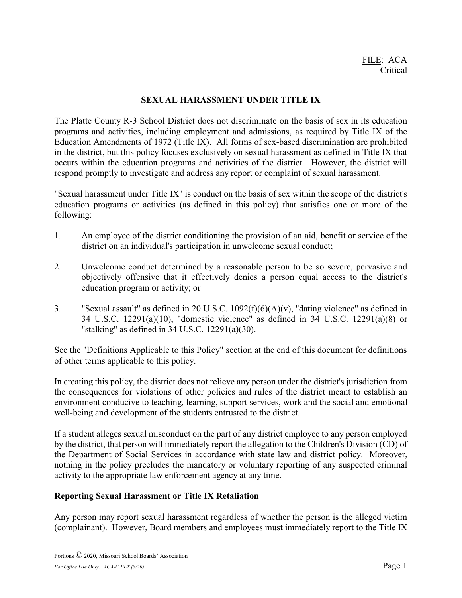## **SEXUAL HARASSMENT UNDER TITLE IX**

The Platte County R-3 School District does not discriminate on the basis of sex in its education programs and activities, including employment and admissions, as required by Title IX of the Education Amendments of 1972 (Title IX). All forms of sex-based discrimination are prohibited in the district, but this policy focuses exclusively on sexual harassment as defined in Title IX that occurs within the education programs and activities of the district. However, the district will respond promptly to investigate and address any report or complaint of sexual harassment.

"Sexual harassment under Title IX" is conduct on the basis of sex within the scope of the district's education programs or activities (as defined in this policy) that satisfies one or more of the following:

- 1. An employee of the district conditioning the provision of an aid, benefit or service of the district on an individual's participation in unwelcome sexual conduct;
- 2. Unwelcome conduct determined by a reasonable person to be so severe, pervasive and objectively offensive that it effectively denies a person equal access to the district's education program or activity; or
- 3. "Sexual assault" as defined in 20 U.S.C. 1092(f)(6)(A)(v), "dating violence" as defined in 34 U.S.C. 12291(a)(10), "domestic violence" as defined in 34 U.S.C. 12291(a)(8) or "stalking" as defined in 34 U.S.C. 12291(a)(30).

See the "Definitions Applicable to this Policy" section at the end of this document for definitions of other terms applicable to this policy.

In creating this policy, the district does not relieve any person under the district's jurisdiction from the consequences for violations of other policies and rules of the district meant to establish an environment conducive to teaching, learning, support services, work and the social and emotional well-being and development of the students entrusted to the district.

If a student alleges sexual misconduct on the part of any district employee to any person employed by the district, that person will immediately report the allegation to the Children's Division (CD) of the Department of Social Services in accordance with state law and district policy. Moreover, nothing in the policy precludes the mandatory or voluntary reporting of any suspected criminal activity to the appropriate law enforcement agency at any time.

### **Reporting Sexual Harassment or Title IX Retaliation**

Any person may report sexual harassment regardless of whether the person is the alleged victim (complainant). However, Board members and employees must immediately report to the Title IX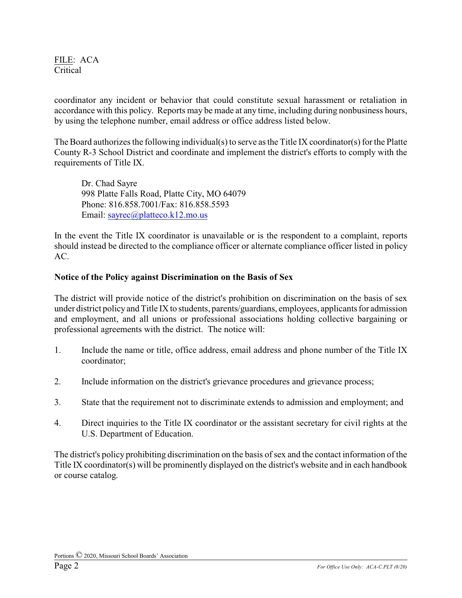coordinator any incident or behavior that could constitute sexual harassment or retaliation in accordance with this policy. Reports may be made at any time, including during nonbusiness hours, by using the telephone number, email address or office address listed below.

The Board authorizes the following individual(s) to serve as the Title IX coordinator(s) for the Platte County R-3 School District and coordinate and implement the district's efforts to comply with the requirements of Title IX.

Dr. Chad Sayre 998 Platte Falls Road, Platte City, MO 64079 Phone: 816.858.7001/Fax: 816.858.5593 Email: [sayrec@platteco.k12.mo.us](mailto:sayrec@platteco.k12.mo.us)

In the event the Title IX coordinator is unavailable or is the respondent to a complaint, reports should instead be directed to the compliance officer or alternate compliance officer listed in policy AC.

## **Notice of the Policy against Discrimination on the Basis of Sex**

The district will provide notice of the district's prohibition on discrimination on the basis of sex under district policyand Title IX to students, parents/guardians, employees, applicants for admission and employment, and all unions or professional associations holding collective bargaining or professional agreements with the district. The notice will:

- 1. Include the name or title, office address, email address and phone number of the Title IX coordinator;
- 2. Include information on the district's grievance procedures and grievance process;
- 3. State that the requirement not to discriminate extends to admission and employment; and
- 4. Direct inquiries to the Title IX coordinator or the assistant secretary for civil rights at the U.S. Department of Education.

The district's policy prohibiting discrimination on the basis of sex and the contact information of the Title IX coordinator(s) will be prominently displayed on the district's website and in each handbook or course catalog.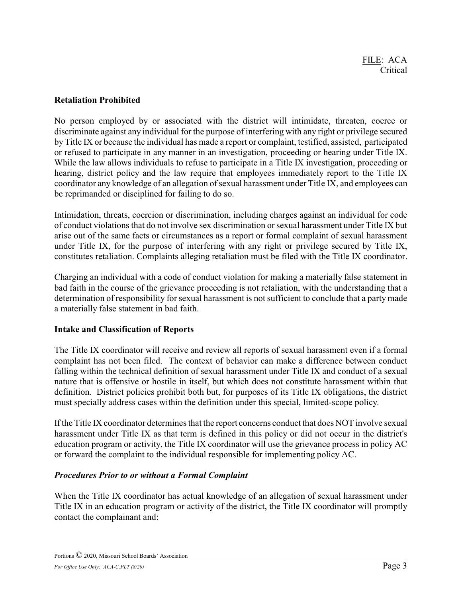## **Retaliation Prohibited**

No person employed by or associated with the district will intimidate, threaten, coerce or discriminate against any individual for the purpose of interfering with any right or privilege secured byTitle IX or because the individual has made a report or complaint, testified, assisted, participated or refused to participate in any manner in an investigation, proceeding or hearing under Title IX. While the law allows individuals to refuse to participate in a Title IX investigation, proceeding or hearing, district policy and the law require that employees immediately report to the Title IX coordinator any knowledge of an allegation of sexual harassment under Title IX, and employees can be reprimanded or disciplined for failing to do so.

Intimidation, threats, coercion or discrimination, including charges against an individual for code of conduct violations that do not involve sex discrimination or sexual harassment under Title IX but arise out of the same facts or circumstances as a report or formal complaint of sexual harassment under Title IX, for the purpose of interfering with any right or privilege secured by Title IX, constitutes retaliation. Complaints alleging retaliation must be filed with the Title IX coordinator.

Charging an individual with a code of conduct violation for making a materially false statement in bad faith in the course of the grievance proceeding is not retaliation, with the understanding that a determination of responsibility for sexual harassment is not sufficient to conclude that a party made a materially false statement in bad faith.

# **Intake and Classification of Reports**

The Title IX coordinator will receive and review all reports of sexual harassment even if a formal complaint has not been filed. The context of behavior can make a difference between conduct falling within the technical definition of sexual harassment under Title IX and conduct of a sexual nature that is offensive or hostile in itself, but which does not constitute harassment within that definition. District policies prohibit both but, for purposes of its Title IX obligations, the district must specially address cases within the definition under this special, limited-scope policy.

If the Title IX coordinator determines that the report concerns conduct that does NOT involve sexual harassment under Title IX as that term is defined in this policy or did not occur in the district's education program or activity, the Title IX coordinator will use the grievance process in policy AC or forward the complaint to the individual responsible for implementing policy AC.

# *Procedures Prior to or without a Formal Complaint*

When the Title IX coordinator has actual knowledge of an allegation of sexual harassment under Title IX in an education program or activity of the district, the Title IX coordinator will promptly contact the complainant and: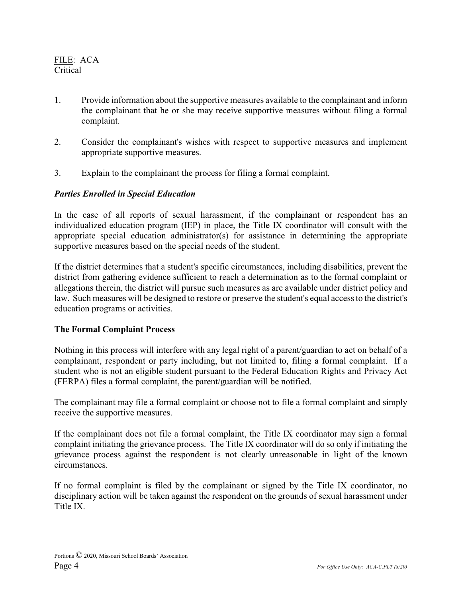- 1. Provide information about the supportive measures available to the complainant and inform the complainant that he or she may receive supportive measures without filing a formal complaint.
- 2. Consider the complainant's wishes with respect to supportive measures and implement appropriate supportive measures.
- 3. Explain to the complainant the process for filing a formal complaint.

## *Parties Enrolled in Special Education*

In the case of all reports of sexual harassment, if the complainant or respondent has an individualized education program (IEP) in place, the Title IX coordinator will consult with the appropriate special education administrator(s) for assistance in determining the appropriate supportive measures based on the special needs of the student.

If the district determines that a student's specific circumstances, including disabilities, prevent the district from gathering evidence sufficient to reach a determination as to the formal complaint or allegations therein, the district will pursue such measures as are available under district policy and law. Such measures will be designed to restore or preserve the student's equal access to the district's education programs or activities.

### **The Formal Complaint Process**

Nothing in this process will interfere with any legal right of a parent/guardian to act on behalf of a complainant, respondent or party including, but not limited to, filing a formal complaint. If a student who is not an eligible student pursuant to the Federal Education Rights and Privacy Act (FERPA) files a formal complaint, the parent/guardian will be notified.

The complainant may file a formal complaint or choose not to file a formal complaint and simply receive the supportive measures.

If the complainant does not file a formal complaint, the Title IX coordinator may sign a formal complaint initiating the grievance process. The Title IX coordinator will do so only if initiating the grievance process against the respondent is not clearly unreasonable in light of the known circumstances.

If no formal complaint is filed by the complainant or signed by the Title IX coordinator, no disciplinary action will be taken against the respondent on the grounds of sexual harassment under Title IX.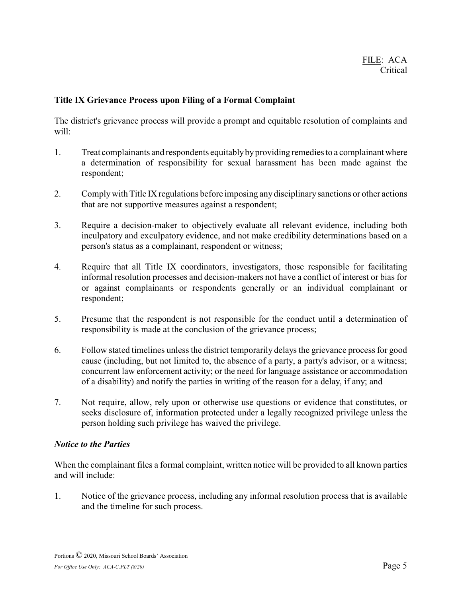## **Title IX Grievance Process upon Filing of a Formal Complaint**

The district's grievance process will provide a prompt and equitable resolution of complaints and will:

- 1. Treat complainants and respondents equitablybyproviding remedies to a complainant where a determination of responsibility for sexual harassment has been made against the respondent;
- 2. Complywith Title IX regulations before imposing any disciplinarysanctions or other actions that are not supportive measures against a respondent;
- 3. Require a decision-maker to objectively evaluate all relevant evidence, including both inculpatory and exculpatory evidence, and not make credibility determinations based on a person's status as a complainant, respondent or witness;
- 4. Require that all Title IX coordinators, investigators, those responsible for facilitating informal resolution processes and decision-makers not have a conflict of interest or bias for or against complainants or respondents generally or an individual complainant or respondent;
- 5. Presume that the respondent is not responsible for the conduct until a determination of responsibility is made at the conclusion of the grievance process;
- 6. Follow stated timelines unless the district temporarily delays the grievance process for good cause (including, but not limited to, the absence of a party, a party's advisor, or a witness; concurrent law enforcement activity; or the need for language assistance or accommodation of a disability) and notify the parties in writing of the reason for a delay, if any; and
- 7. Not require, allow, rely upon or otherwise use questions or evidence that constitutes, or seeks disclosure of, information protected under a legally recognized privilege unless the person holding such privilege has waived the privilege.

### *Notice to the Parties*

When the complainant files a formal complaint, written notice will be provided to all known parties and will include:

1. Notice of the grievance process, including any informal resolution process that is available and the timeline for such process.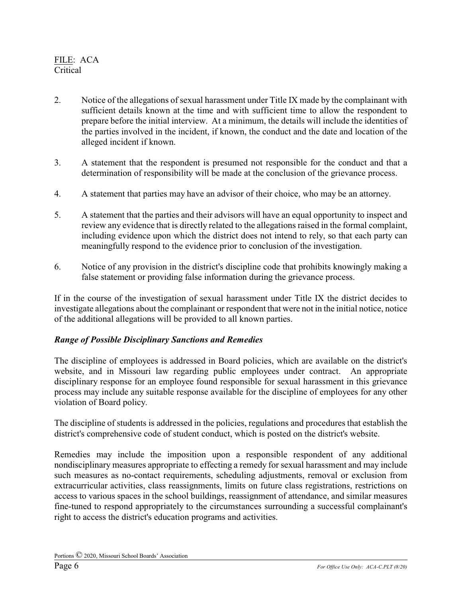- 2. Notice of the allegations of sexual harassment under Title IX made by the complainant with sufficient details known at the time and with sufficient time to allow the respondent to prepare before the initial interview. At a minimum, the details will include the identities of the parties involved in the incident, if known, the conduct and the date and location of the alleged incident if known.
- 3. A statement that the respondent is presumed not responsible for the conduct and that a determination of responsibility will be made at the conclusion of the grievance process.
- 4. A statement that parties may have an advisor of their choice, who may be an attorney.
- 5. A statement that the parties and their advisors will have an equal opportunity to inspect and review any evidence that is directly related to the allegations raised in the formal complaint, including evidence upon which the district does not intend to rely, so that each party can meaningfully respond to the evidence prior to conclusion of the investigation.
- 6. Notice of any provision in the district's discipline code that prohibits knowingly making a false statement or providing false information during the grievance process.

If in the course of the investigation of sexual harassment under Title IX the district decides to investigate allegations about the complainant or respondent that were not in the initial notice, notice of the additional allegations will be provided to all known parties.

# *Range of Possible Disciplinary Sanctions and Remedies*

The discipline of employees is addressed in Board policies, which are available on the district's website, and in Missouri law regarding public employees under contract. An appropriate disciplinary response for an employee found responsible for sexual harassment in this grievance process may include any suitable response available for the discipline of employees for any other violation of Board policy.

The discipline of students is addressed in the policies, regulations and procedures that establish the district's comprehensive code of student conduct, which is posted on the district's website.

Remedies may include the imposition upon a responsible respondent of any additional nondisciplinary measures appropriate to effecting a remedy for sexual harassment and may include such measures as no-contact requirements, scheduling adjustments, removal or exclusion from extracurricular activities, class reassignments, limits on future class registrations, restrictions on access to various spaces in the school buildings, reassignment of attendance, and similar measures fine-tuned to respond appropriately to the circumstances surrounding a successful complainant's right to access the district's education programs and activities.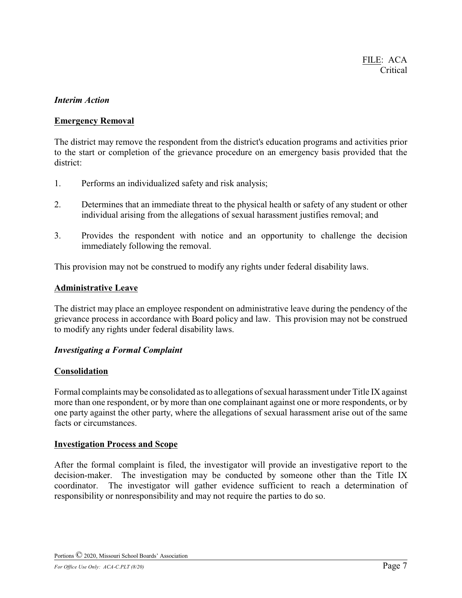### *Interim Action*

## **Emergency Removal**

The district may remove the respondent from the district's education programs and activities prior to the start or completion of the grievance procedure on an emergency basis provided that the district:

- 1. Performs an individualized safety and risk analysis;
- 2. Determines that an immediate threat to the physical health or safety of any student or other individual arising from the allegations of sexual harassment justifies removal; and
- 3. Provides the respondent with notice and an opportunity to challenge the decision immediately following the removal.

This provision may not be construed to modify any rights under federal disability laws.

### **Administrative Leave**

The district may place an employee respondent on administrative leave during the pendency of the grievance process in accordance with Board policy and law. This provision may not be construed to modify any rights under federal disability laws.

### *Investigating a Formal Complaint*

### **Consolidation**

Formal complaints maybe consolidated as to allegations of sexual harassment under Title IX against more than one respondent, or by more than one complainant against one or more respondents, or by one party against the other party, where the allegations of sexual harassment arise out of the same facts or circumstances.

### **Investigation Process and Scope**

After the formal complaint is filed, the investigator will provide an investigative report to the decision-maker. The investigation may be conducted by someone other than the Title IX coordinator. The investigator will gather evidence sufficient to reach a determination of responsibility or nonresponsibility and may not require the parties to do so.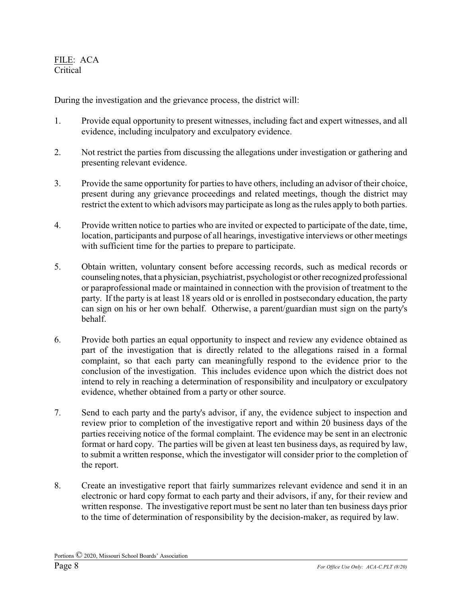During the investigation and the grievance process, the district will:

- 1. Provide equal opportunity to present witnesses, including fact and expert witnesses, and all evidence, including inculpatory and exculpatory evidence.
- 2. Not restrict the parties from discussing the allegations under investigation or gathering and presenting relevant evidence.
- 3. Provide the same opportunity for parties to have others, including an advisor of their choice, present during any grievance proceedings and related meetings, though the district may restrict the extent to which advisors may participate as long as the rules apply to both parties.
- 4. Provide written notice to parties who are invited or expected to participate of the date, time, location, participants and purpose of all hearings, investigative interviews or other meetings with sufficient time for the parties to prepare to participate.
- 5. Obtain written, voluntary consent before accessing records, such as medical records or counseling notes, that a physician, psychiatrist, psychologist or other recognized professional or paraprofessional made or maintained in connection with the provision of treatment to the party. If the party is at least 18 years old or is enrolled in postsecondary education, the party can sign on his or her own behalf. Otherwise, a parent/guardian must sign on the party's behalf.
- 6. Provide both parties an equal opportunity to inspect and review any evidence obtained as part of the investigation that is directly related to the allegations raised in a formal complaint, so that each party can meaningfully respond to the evidence prior to the conclusion of the investigation. This includes evidence upon which the district does not intend to rely in reaching a determination of responsibility and inculpatory or exculpatory evidence, whether obtained from a party or other source.
- 7. Send to each party and the party's advisor, if any, the evidence subject to inspection and review prior to completion of the investigative report and within 20 business days of the parties receiving notice of the formal complaint. The evidence may be sent in an electronic format or hard copy. The parties will be given at least ten business days, as required by law, to submit a written response, which the investigator will consider prior to the completion of the report.
- 8. Create an investigative report that fairly summarizes relevant evidence and send it in an electronic or hard copy format to each party and their advisors, if any, for their review and written response. The investigative report must be sent no later than ten business days prior to the time of determination of responsibility by the decision-maker, as required by law.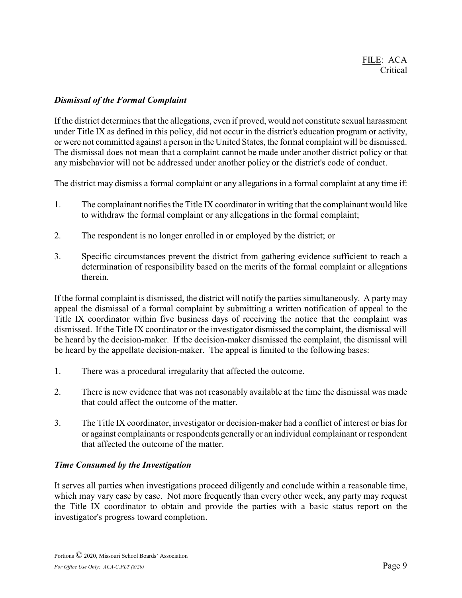## *Dismissal of the Formal Complaint*

If the district determines that the allegations, even if proved, would not constitute sexual harassment under Title IX as defined in this policy, did not occur in the district's education program or activity, or were not committed against a person in the United States, the formal complaint will be dismissed. The dismissal does not mean that a complaint cannot be made under another district policy or that any misbehavior will not be addressed under another policy or the district's code of conduct.

The district may dismiss a formal complaint or any allegations in a formal complaint at any time if:

- 1. The complainant notifies the Title IX coordinator in writing that the complainant would like to withdraw the formal complaint or any allegations in the formal complaint;
- 2. The respondent is no longer enrolled in or employed by the district; or
- 3. Specific circumstances prevent the district from gathering evidence sufficient to reach a determination of responsibility based on the merits of the formal complaint or allegations therein.

If the formal complaint is dismissed, the district will notify the parties simultaneously. A party may appeal the dismissal of a formal complaint by submitting a written notification of appeal to the Title IX coordinator within five business days of receiving the notice that the complaint was dismissed. If the Title IX coordinator or the investigator dismissed the complaint, the dismissal will be heard by the decision-maker. If the decision-maker dismissed the complaint, the dismissal will be heard by the appellate decision-maker. The appeal is limited to the following bases:

- 1. There was a procedural irregularity that affected the outcome.
- 2. There is new evidence that was not reasonably available at the time the dismissal was made that could affect the outcome of the matter.
- 3. The Title IX coordinator, investigator or decision-maker had a conflict of interest or bias for or against complainants or respondents generallyor an individual complainant or respondent that affected the outcome of the matter.

### *Time Consumed by the Investigation*

It serves all parties when investigations proceed diligently and conclude within a reasonable time, which may vary case by case. Not more frequently than every other week, any party may request the Title IX coordinator to obtain and provide the parties with a basic status report on the investigator's progress toward completion.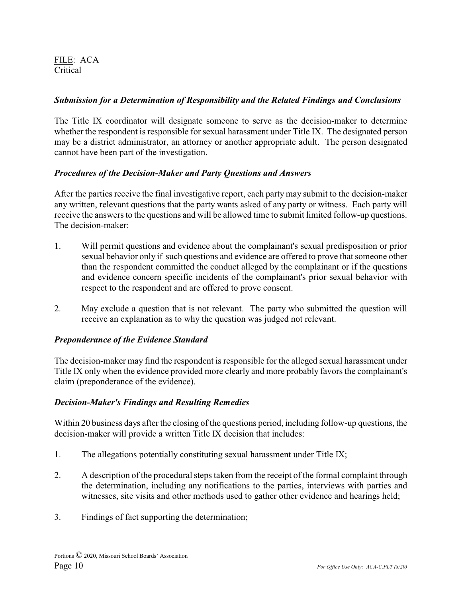# *Submission for a Determination of Responsibility and the Related Findings and Conclusions*

The Title IX coordinator will designate someone to serve as the decision-maker to determine whether the respondent is responsible for sexual harassment under Title IX. The designated person may be a district administrator, an attorney or another appropriate adult. The person designated cannot have been part of the investigation.

# *Procedures of the Decision-Maker and Party Questions and Answers*

After the parties receive the final investigative report, each party may submit to the decision-maker any written, relevant questions that the party wants asked of any party or witness. Each party will receive the answers to the questions and will be allowed time to submit limited follow-up questions. The decision-maker:

- 1. Will permit questions and evidence about the complainant's sexual predisposition or prior sexual behavior only if such questions and evidence are offered to prove that someone other than the respondent committed the conduct alleged by the complainant or if the questions and evidence concern specific incidents of the complainant's prior sexual behavior with respect to the respondent and are offered to prove consent.
- 2. May exclude a question that is not relevant. The party who submitted the question will receive an explanation as to why the question was judged not relevant.

# *Preponderance of the Evidence Standard*

The decision-maker may find the respondent is responsible for the alleged sexual harassment under Title IX only when the evidence provided more clearly and more probably favors the complainant's claim (preponderance of the evidence).

# *Decision-Maker's Findings and Resulting Remedies*

Within 20 business days after the closing of the questions period, including follow-up questions, the decision-maker will provide a written Title IX decision that includes:

- 1. The allegations potentially constituting sexual harassment under Title IX;
- 2. A description of the procedural steps taken from the receipt of the formal complaint through the determination, including any notifications to the parties, interviews with parties and witnesses, site visits and other methods used to gather other evidence and hearings held;
- 3. Findings of fact supporting the determination;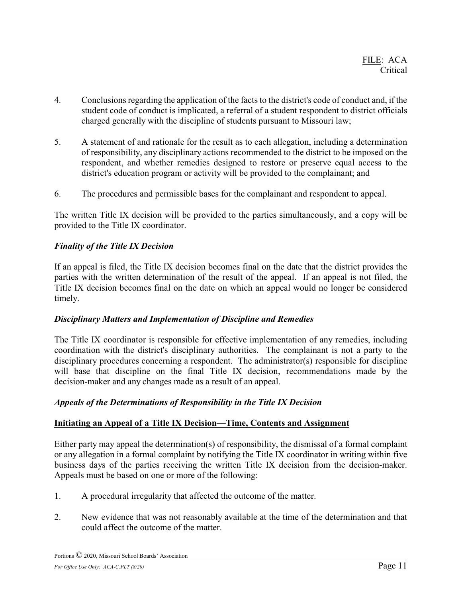- 4. Conclusions regarding the application of the facts to the district's code of conduct and, if the student code of conduct is implicated, a referral of a student respondent to district officials charged generally with the discipline of students pursuant to Missouri law;
- 5. A statement of and rationale for the result as to each allegation, including a determination of responsibility, any disciplinary actions recommended to the district to be imposed on the respondent, and whether remedies designed to restore or preserve equal access to the district's education program or activity will be provided to the complainant; and
- 6. The procedures and permissible bases for the complainant and respondent to appeal.

The written Title IX decision will be provided to the parties simultaneously, and a copy will be provided to the Title IX coordinator.

# *Finality of the Title IX Decision*

If an appeal is filed, the Title IX decision becomes final on the date that the district provides the parties with the written determination of the result of the appeal. If an appeal is not filed, the Title IX decision becomes final on the date on which an appeal would no longer be considered timely.

# *Disciplinary Matters and Implementation of Discipline and Remedies*

The Title IX coordinator is responsible for effective implementation of any remedies, including coordination with the district's disciplinary authorities. The complainant is not a party to the disciplinary procedures concerning a respondent. The administrator(s) responsible for discipline will base that discipline on the final Title IX decision, recommendations made by the decision-maker and any changes made as a result of an appeal.

# *Appeals of the Determinations of Responsibility in the Title IX Decision*

# **Initiating an Appeal of a Title IX Decision—Time, Contents and Assignment**

Either party may appeal the determination(s) of responsibility, the dismissal of a formal complaint or any allegation in a formal complaint by notifying the Title IX coordinator in writing within five business days of the parties receiving the written Title IX decision from the decision-maker. Appeals must be based on one or more of the following:

- 1. A procedural irregularity that affected the outcome of the matter.
- 2. New evidence that was not reasonably available at the time of the determination and that could affect the outcome of the matter.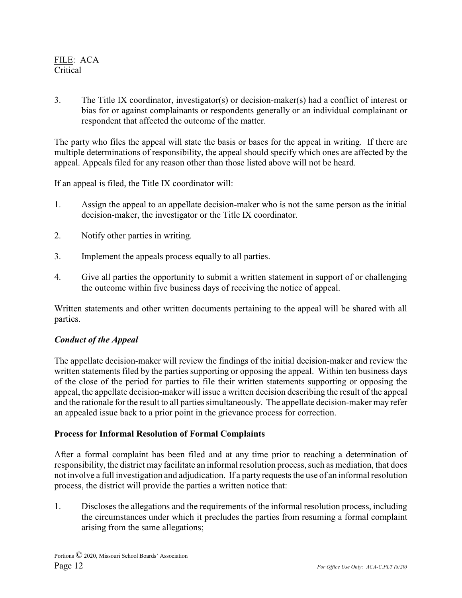3. The Title IX coordinator, investigator(s) or decision-maker(s) had a conflict of interest or bias for or against complainants or respondents generally or an individual complainant or respondent that affected the outcome of the matter.

The party who files the appeal will state the basis or bases for the appeal in writing. If there are multiple determinations of responsibility, the appeal should specify which ones are affected by the appeal. Appeals filed for any reason other than those listed above will not be heard.

If an appeal is filed, the Title IX coordinator will:

- 1. Assign the appeal to an appellate decision-maker who is not the same person as the initial decision-maker, the investigator or the Title IX coordinator.
- 2. Notify other parties in writing.
- 3. Implement the appeals process equally to all parties.
- 4. Give all parties the opportunity to submit a written statement in support of or challenging the outcome within five business days of receiving the notice of appeal.

Written statements and other written documents pertaining to the appeal will be shared with all parties.

### *Conduct of the Appeal*

The appellate decision-maker will review the findings of the initial decision-maker and review the written statements filed by the parties supporting or opposing the appeal. Within ten business days of the close of the period for parties to file their written statements supporting or opposing the appeal, the appellate decision-maker will issue a written decision describing the result of the appeal and the rationale for the result to all parties simultaneously. The appellate decision-maker may refer an appealed issue back to a prior point in the grievance process for correction.

### **Process for Informal Resolution of Formal Complaints**

After a formal complaint has been filed and at any time prior to reaching a determination of responsibility, the district may facilitate an informal resolution process, such as mediation, that does not involve a full investigation and adjudication. If a party requests the use of an informal resolution process, the district will provide the parties a written notice that:

1. Discloses the allegations and the requirements of the informal resolution process, including the circumstances under which it precludes the parties from resuming a formal complaint arising from the same allegations;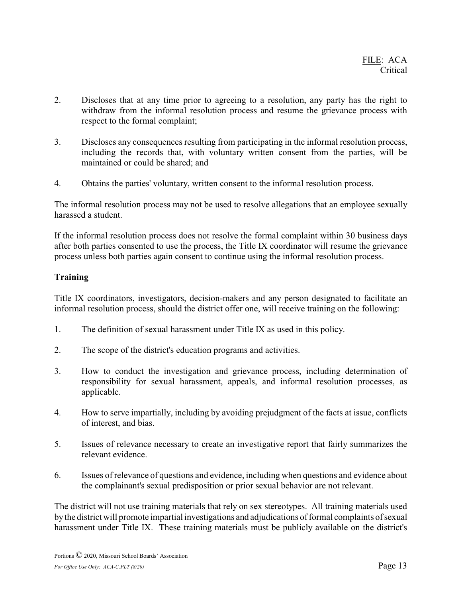- 2. Discloses that at any time prior to agreeing to a resolution, any party has the right to withdraw from the informal resolution process and resume the grievance process with respect to the formal complaint;
- 3. Discloses any consequences resulting from participating in the informal resolution process, including the records that, with voluntary written consent from the parties, will be maintained or could be shared; and
- 4. Obtains the parties' voluntary, written consent to the informal resolution process.

The informal resolution process may not be used to resolve allegations that an employee sexually harassed a student.

If the informal resolution process does not resolve the formal complaint within 30 business days after both parties consented to use the process, the Title IX coordinator will resume the grievance process unless both parties again consent to continue using the informal resolution process.

## **Training**

Title IX coordinators, investigators, decision-makers and any person designated to facilitate an informal resolution process, should the district offer one, will receive training on the following:

- 1. The definition of sexual harassment under Title IX as used in this policy.
- 2. The scope of the district's education programs and activities.
- 3. How to conduct the investigation and grievance process, including determination of responsibility for sexual harassment, appeals, and informal resolution processes, as applicable.
- 4. How to serve impartially, including by avoiding prejudgment of the facts at issue, conflicts of interest, and bias.
- 5. Issues of relevance necessary to create an investigative report that fairly summarizes the relevant evidence.
- 6. Issues of relevance of questions and evidence, including when questions and evidence about the complainant's sexual predisposition or prior sexual behavior are not relevant.

The district will not use training materials that rely on sex stereotypes. All training materials used bythe districtwill promote impartial investigations and adjudications of formal complaints of sexual harassment under Title IX. These training materials must be publicly available on the district's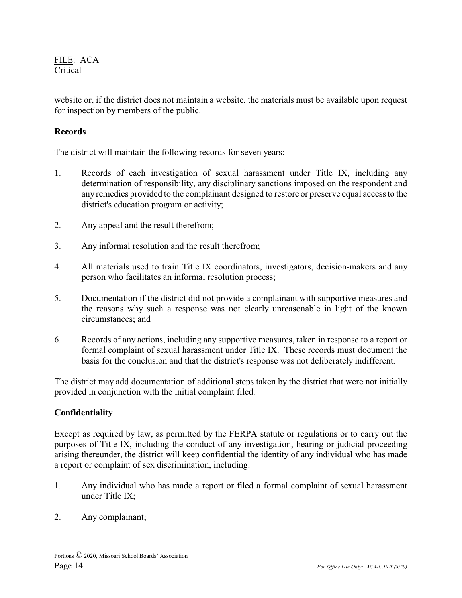website or, if the district does not maintain a website, the materials must be available upon request for inspection by members of the public.

# **Records**

The district will maintain the following records for seven years:

- 1. Records of each investigation of sexual harassment under Title IX, including any determination of responsibility, any disciplinary sanctions imposed on the respondent and any remedies provided to the complainant designed to restore or preserve equal access to the district's education program or activity;
- 2. Any appeal and the result therefrom;
- 3. Any informal resolution and the result therefrom;
- 4. All materials used to train Title IX coordinators, investigators, decision-makers and any person who facilitates an informal resolution process;
- 5. Documentation if the district did not provide a complainant with supportive measures and the reasons why such a response was not clearly unreasonable in light of the known circumstances; and
- 6. Records of any actions, including any supportive measures, taken in response to a report or formal complaint of sexual harassment under Title IX. These records must document the basis for the conclusion and that the district's response was not deliberately indifferent.

The district may add documentation of additional steps taken by the district that were not initially provided in conjunction with the initial complaint filed.

# **Confidentiality**

Except as required by law, as permitted by the FERPA statute or regulations or to carry out the purposes of Title IX, including the conduct of any investigation, hearing or judicial proceeding arising thereunder, the district will keep confidential the identity of any individual who has made a report or complaint of sex discrimination, including:

- 1. Any individual who has made a report or filed a formal complaint of sexual harassment under Title IX;
- 2. Any complainant;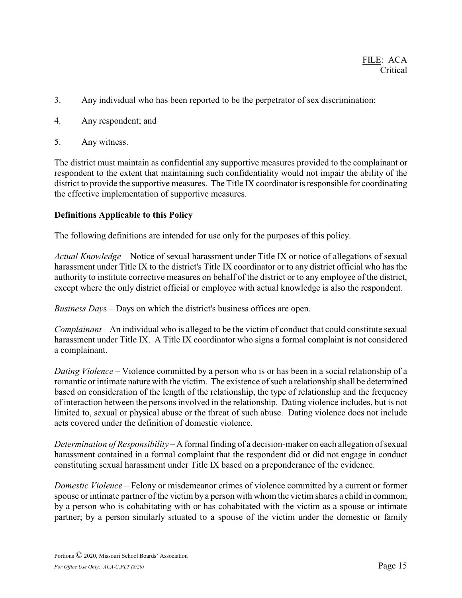- 3. Any individual who has been reported to be the perpetrator of sex discrimination;
- 4. Any respondent; and
- 5. Any witness.

The district must maintain as confidential any supportive measures provided to the complainant or respondent to the extent that maintaining such confidentiality would not impair the ability of the district to provide the supportive measures. The Title IX coordinator is responsible for coordinating the effective implementation of supportive measures.

### **Definitions Applicable to this Policy**

The following definitions are intended for use only for the purposes of this policy.

*Actual Knowledge* – Notice of sexual harassment under Title IX or notice of allegations of sexual harassment under Title IX to the district's Title IX coordinator or to any district official who has the authority to institute corrective measures on behalf of the district or to any employee of the district, except where the only district official or employee with actual knowledge is also the respondent.

*Business Day*s – Days on which the district's business offices are open.

*Complainant* – An individual who is alleged to be the victim of conduct that could constitute sexual harassment under Title IX. A Title IX coordinator who signs a formal complaint is not considered a complainant.

*Dating Violence* – Violence committed by a person who is or has been in a social relationship of a romantic or intimate nature with the victim. The existence of such a relationship shall be determined based on consideration of the length of the relationship, the type of relationship and the frequency of interaction between the persons involved in the relationship. Dating violence includes, but is not limited to, sexual or physical abuse or the threat of such abuse. Dating violence does not include acts covered under the definition of domestic violence.

*Determination of Responsibility* – A formal finding of a decision-maker on each allegation of sexual harassment contained in a formal complaint that the respondent did or did not engage in conduct constituting sexual harassment under Title IX based on a preponderance of the evidence.

*Domestic Violence* – Felony or misdemeanor crimes of violence committed by a current or former spouse or intimate partner of the victim by a person with whom the victim shares a child in common; by a person who is cohabitating with or has cohabitated with the victim as a spouse or intimate partner; by a person similarly situated to a spouse of the victim under the domestic or family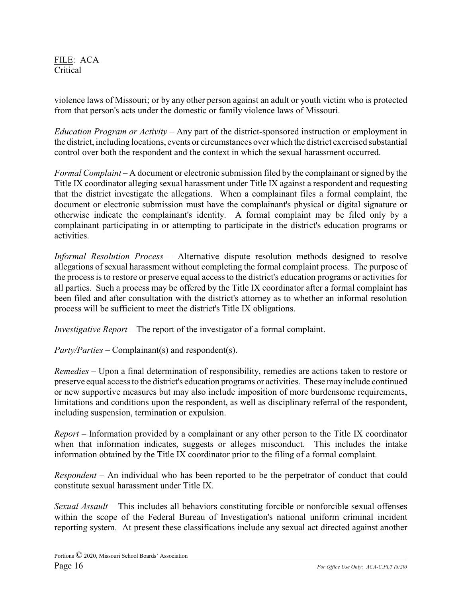violence laws of Missouri; or by any other person against an adult or youth victim who is protected from that person's acts under the domestic or family violence laws of Missouri.

*Education Program or Activity* – Any part of the district-sponsored instruction or employment in the district, including locations, events or circumstances over which the district exercised substantial control over both the respondent and the context in which the sexual harassment occurred.

*Formal Complaint* – A document or electronic submission filed by the complainant or signed by the Title IX coordinator alleging sexual harassment under Title IX against a respondent and requesting that the district investigate the allegations. When a complainant files a formal complaint, the document or electronic submission must have the complainant's physical or digital signature or otherwise indicate the complainant's identity. A formal complaint may be filed only by a complainant participating in or attempting to participate in the district's education programs or activities.

*Informal Resolution Process* – Alternative dispute resolution methods designed to resolve allegations of sexual harassment without completing the formal complaint process. The purpose of the process is to restore or preserve equal access to the district's education programs or activities for all parties. Such a process may be offered by the Title IX coordinator after a formal complaint has been filed and after consultation with the district's attorney as to whether an informal resolution process will be sufficient to meet the district's Title IX obligations.

*Investigative Report* – The report of the investigator of a formal complaint.

*Party/Parties* – Complainant(s) and respondent(s).

*Remedies* – Upon a final determination of responsibility, remedies are actions taken to restore or preserve equal access to the district's education programs or activities. These may include continued or new supportive measures but may also include imposition of more burdensome requirements, limitations and conditions upon the respondent, as well as disciplinary referral of the respondent, including suspension, termination or expulsion.

*Report* – Information provided by a complainant or any other person to the Title IX coordinator when that information indicates, suggests or alleges misconduct. This includes the intake information obtained by the Title IX coordinator prior to the filing of a formal complaint.

*Respondent* – An individual who has been reported to be the perpetrator of conduct that could constitute sexual harassment under Title IX.

*Sexual Assault* – This includes all behaviors constituting forcible or nonforcible sexual offenses within the scope of the Federal Bureau of Investigation's national uniform criminal incident reporting system. At present these classifications include any sexual act directed against another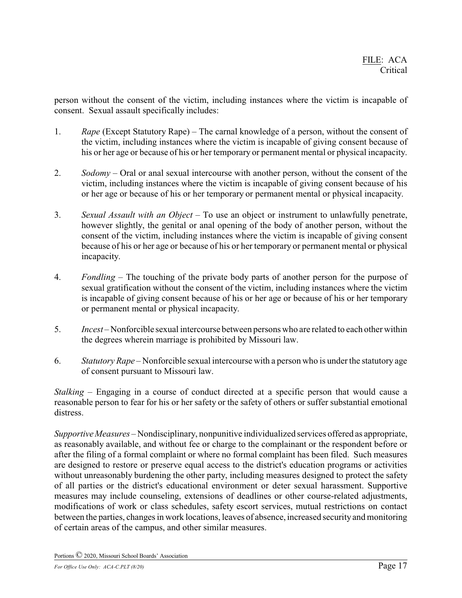person without the consent of the victim, including instances where the victim is incapable of consent. Sexual assault specifically includes:

- 1. *Rape* (Except Statutory Rape) The carnal knowledge of a person, without the consent of the victim, including instances where the victim is incapable of giving consent because of his or her age or because of his or her temporary or permanent mental or physical incapacity.
- 2. *Sodomy* Oral or anal sexual intercourse with another person, without the consent of the victim, including instances where the victim is incapable of giving consent because of his or her age or because of his or her temporary or permanent mental or physical incapacity.
- 3. *Sexual Assault with an Object* To use an object or instrument to unlawfully penetrate, however slightly, the genital or anal opening of the body of another person, without the consent of the victim, including instances where the victim is incapable of giving consent because of his or her age or because of his or her temporary or permanent mental or physical incapacity.
- 4. *Fondling* The touching of the private body parts of another person for the purpose of sexual gratification without the consent of the victim, including instances where the victim is incapable of giving consent because of his or her age or because of his or her temporary or permanent mental or physical incapacity.
- 5. *Incest* Nonforcible sexual intercourse between persons who are related to each other within the degrees wherein marriage is prohibited by Missouri law.
- 6. *Statutory Rape* Nonforcible sexual intercourse with a person who is under the statutory age of consent pursuant to Missouri law.

*Stalking* – Engaging in a course of conduct directed at a specific person that would cause a reasonable person to fear for his or her safety or the safety of others or suffer substantial emotional distress.

*Supportive Measures* – Nondisciplinary, nonpunitive individualized services offered as appropriate, as reasonably available, and without fee or charge to the complainant or the respondent before or after the filing of a formal complaint or where no formal complaint has been filed. Such measures are designed to restore or preserve equal access to the district's education programs or activities without unreasonably burdening the other party, including measures designed to protect the safety of all parties or the district's educational environment or deter sexual harassment. Supportive measures may include counseling, extensions of deadlines or other course-related adjustments, modifications of work or class schedules, safety escort services, mutual restrictions on contact between the parties, changes in work locations, leaves of absence, increased security and monitoring of certain areas of the campus, and other similar measures.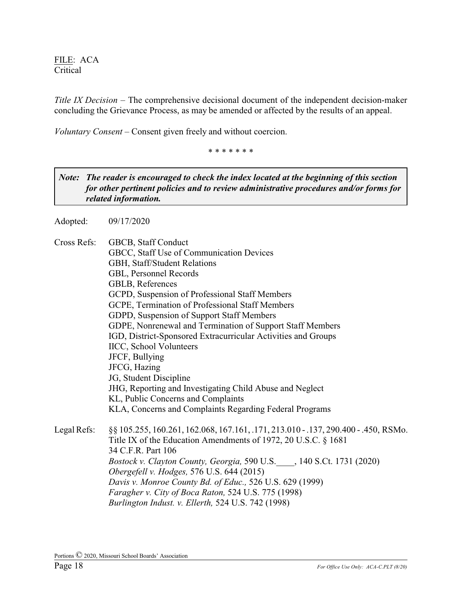*Title IX Decision* – The comprehensive decisional document of the independent decision-maker concluding the Grievance Process, as may be amended or affected by the results of an appeal.

*Voluntary Consent* – Consent given freely and without coercion.

\* \* \* \* \* \* \*

*Note: The reader is encouraged to check the index located at the beginning of this section for other pertinent policies and to review administrative procedures and/or forms for related information.*

Adopted: 09/17/2020

Cross Refs: GBCB, Staff Conduct GBCC, Staff Use of Communication Devices GBH, Staff/Student Relations GBL, Personnel Records GBLB, References GCPD, Suspension of Professional Staff Members GCPE, Termination of Professional Staff Members GDPD, Suspension of Support Staff Members GDPE, Nonrenewal and Termination of Support Staff Members IGD, District-Sponsored Extracurricular Activities and Groups IICC, School Volunteers JFCF, Bullying JFCG, Hazing JG, Student Discipline JHG, Reporting and Investigating Child Abuse and Neglect KL, Public Concerns and Complaints KLA, Concerns and Complaints Regarding Federal Programs Legal Refs: §§ 105.255, 160.261, 162.068, 167.161, .171, 213.010 - .137, 290.400 - .450, RSMo. Title IX of the Education Amendments of 1972, 20 U.S.C. § 1681 34 C.F.R. Part 106 *Bostock v. Clayton County, Georgia,* 590 U.S.\_\_\_\_, 140 S.Ct. 1731 (2020) *Obergefell v. Hodges,* 576 U.S. 644 (2015) *Davis v. Monroe County Bd. of Educ.,* 526 U.S. 629 (1999) *Faragher v. City of Boca Raton,* 524 U.S. 775 (1998) *Burlington Indust. v. Ellerth,* 524 U.S. 742 (1998)